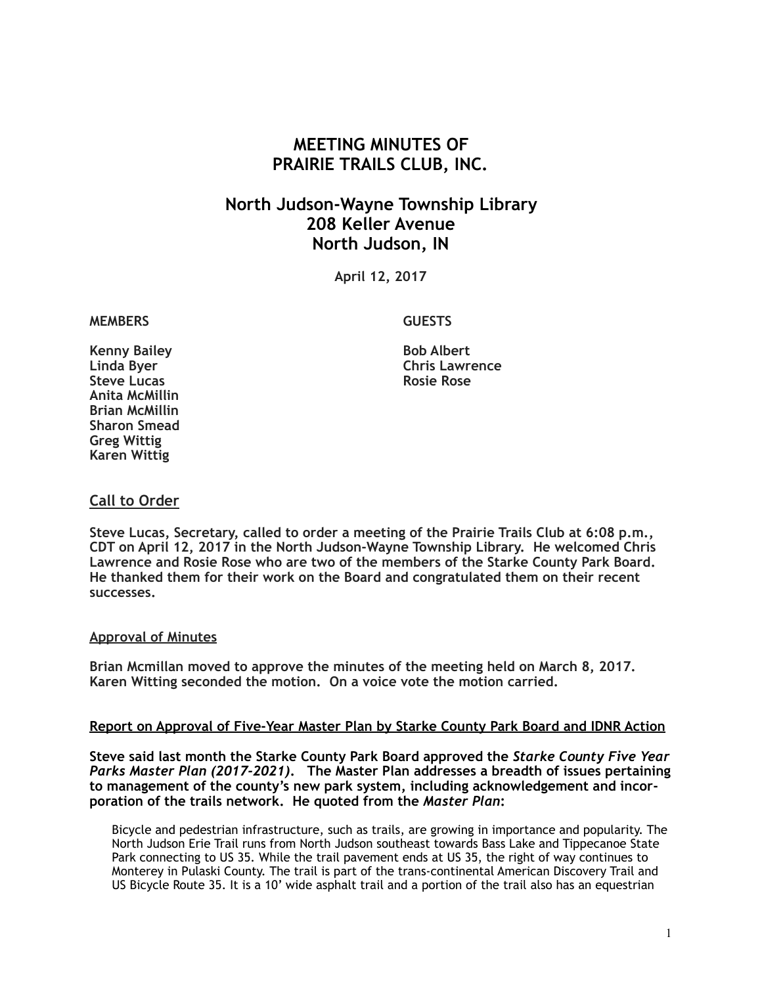# **MEETING MINUTES OF PRAIRIE TRAILS CLUB, INC.**

# **North Judson-Wayne Township Library 208 Keller Avenue North Judson, IN**

**April 12, 2017**

#### **MEMBERS GUESTS**

**Kenny Bailey Bob Albert Steve Lucas Anita McMillin Brian McMillin Sharon Smead Greg Wittig Karen Wittig**

**Chris Lawrence**<br>Rosie Rose

## **Call to Order**

**Steve Lucas, Secretary, called to order a meeting of the Prairie Trails Club at 6:08 p.m., CDT on April 12, 2017 in the North Judson-Wayne Township Library. He welcomed Chris Lawrence and Rosie Rose who are two of the members of the Starke County Park Board. He thanked them for their work on the Board and congratulated them on their recent successes.**

#### **Approval of Minutes**

**Brian Mcmillan moved to approve the minutes of the meeting held on March 8, 2017. Karen Witting seconded the motion. On a voice vote the motion carried.**

#### **Report on Approval of Five-Year Master Plan by Starke County Park Board and IDNR Action**

**Steve said last month the Starke County Park Board approved the** *Starke County Five Year Parks Master Plan (2017-2021)***. The Master Plan addresses a breadth of issues pertaining to management of the county's new park system, including acknowledgement and incorporation of the trails network. He quoted from the** *Master Plan***:** 

Bicycle and pedestrian infrastructure, such as trails, are growing in importance and popularity. The North Judson Erie Trail runs from North Judson southeast towards Bass Lake and Tippecanoe State Park connecting to US 35. While the trail pavement ends at US 35, the right of way continues to Monterey in Pulaski County. The trail is part of the trans-continental American Discovery Trail and US Bicycle Route 35. It is a 10' wide asphalt trail and a portion of the trail also has an equestrian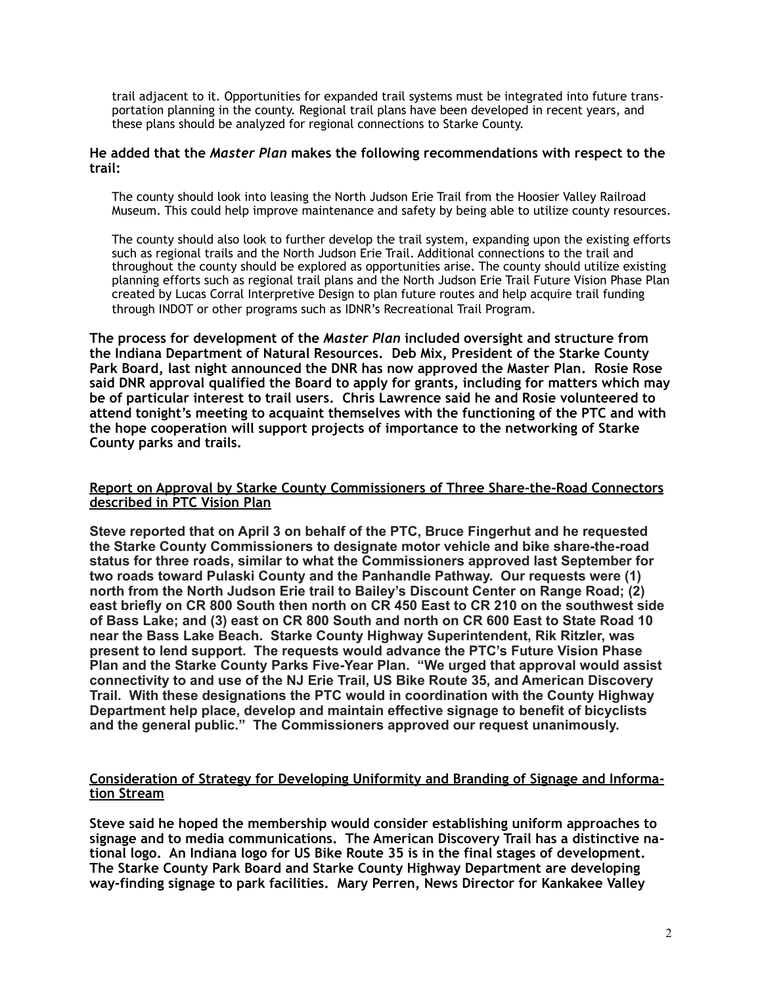trail adjacent to it. Opportunities for expanded trail systems must be integrated into future transportation planning in the county. Regional trail plans have been developed in recent years, and these plans should be analyzed for regional connections to Starke County.

#### **He added that the** *Master Plan* **makes the following recommendations with respect to the trail:**

The county should look into leasing the North Judson Erie Trail from the Hoosier Valley Railroad Museum. This could help improve maintenance and safety by being able to utilize county resources.

The county should also look to further develop the trail system, expanding upon the existing efforts such as regional trails and the North Judson Erie Trail. Additional connections to the trail and throughout the county should be explored as opportunities arise. The county should utilize existing planning efforts such as regional trail plans and the North Judson Erie Trail Future Vision Phase Plan created by Lucas Corral Interpretive Design to plan future routes and help acquire trail funding through INDOT or other programs such as IDNR's Recreational Trail Program.

**The process for development of the** *Master Plan* **included oversight and structure from the Indiana Department of Natural Resources. Deb Mix, President of the Starke County Park Board, last night announced the DNR has now approved the Master Plan. Rosie Rose said DNR approval qualified the Board to apply for grants, including for matters which may be of particular interest to trail users. Chris Lawrence said he and Rosie volunteered to attend tonight's meeting to acquaint themselves with the functioning of the PTC and with the hope cooperation will support projects of importance to the networking of Starke County parks and trails.**

#### **Report on Approval by Starke County Commissioners of Three Share-the-Road Connectors described in PTC Vision Plan**

**Steve reported that on April 3 on behalf of the PTC, Bruce Fingerhut and he requested the Starke County Commissioners to designate motor vehicle and bike share-the-road status for three roads, similar to what the Commissioners approved last September for two roads toward Pulaski County and the Panhandle Pathway. Our requests were (1) north from the North Judson Erie trail to Bailey's Discount Center on Range Road; (2) east briefly on CR 800 South then north on CR 450 East to CR 210 on the southwest side of Bass Lake; and (3) east on CR 800 South and north on CR 600 East to State Road 10 near the Bass Lake Beach. Starke County Highway Superintendent, Rik Ritzler, was present to lend support. The requests would advance the PTC's Future Vision Phase Plan and the Starke County Parks Five-Year Plan. "We urged that approval would assist connectivity to and use of the NJ Erie Trail, US Bike Route 35, and American Discovery Trail. With these designations the PTC would in coordination with the County Highway Department help place, develop and maintain effective signage to benefit of bicyclists and the general public." The Commissioners approved our request unanimously.** 

#### **Consideration of Strategy for Developing Uniformity and Branding of Signage and Information Stream**

**Steve said he hoped the membership would consider establishing uniform approaches to signage and to media communications. The American Discovery Trail has a distinctive national logo. An Indiana logo for US Bike Route 35 is in the final stages of development. The Starke County Park Board and Starke County Highway Department are developing way-finding signage to park facilities. Mary Perren, News Director for Kankakee Valley**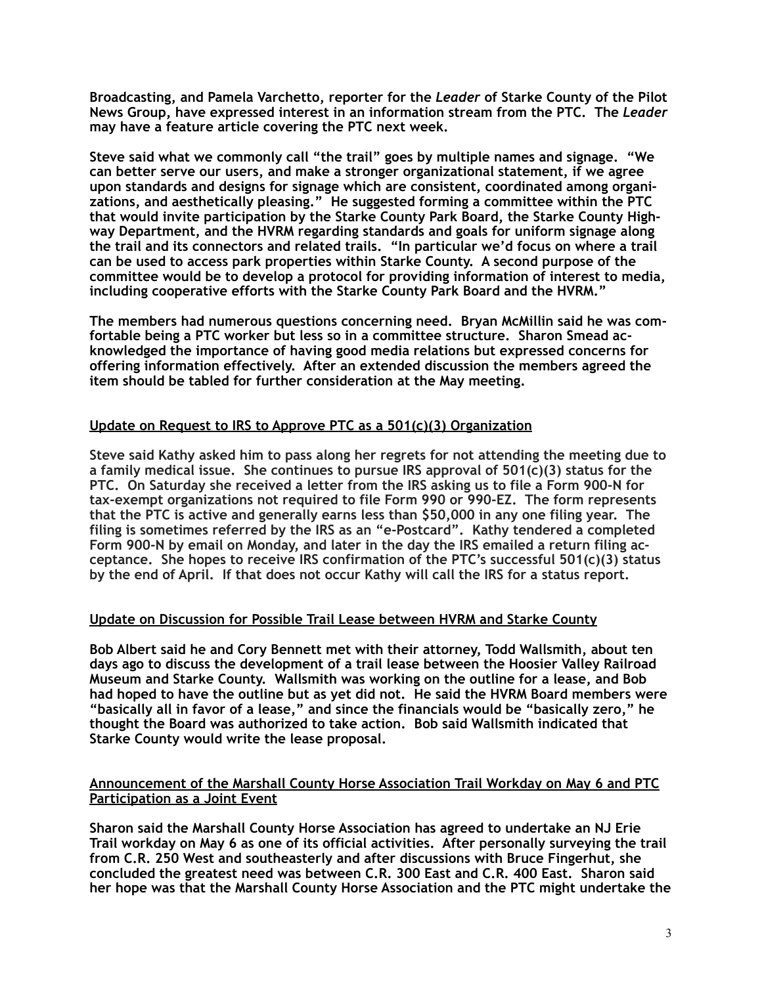**Broadcasting, and Pamela Varchetto, reporter for the** *Leader* **of Starke County of the Pilot News Group, have expressed interest in an information stream from the PTC. The** *Leader* **may have a feature article covering the PTC next week.** 

**Steve said what we commonly call "the trail" goes by multiple names and signage. "We can better serve our users, and make a stronger organizational statement, if we agree upon standards and designs for signage which are consistent, coordinated among organizations, and aesthetically pleasing." He suggested forming a committee within the PTC that would invite participation by the Starke County Park Board, the Starke County Highway Department, and the HVRM regarding standards and goals for uniform signage along the trail and its connectors and related trails. "In particular we'd focus on where a trail can be used to access park properties within Starke County. A second purpose of the committee would be to develop a protocol for providing information of interest to media, including cooperative efforts with the Starke County Park Board and the HVRM."** 

**The members had numerous questions concerning need. Bryan McMillin said he was comfortable being a PTC worker but less so in a committee structure. Sharon Smead acknowledged the importance of having good media relations but expressed concerns for offering information effectively. After an extended discussion the members agreed the item should be tabled for further consideration at the May meeting.** 

## **Update on Request to IRS to Approve PTC as a 501(c)(3) Organization**

**Steve said Kathy asked him to pass along her regrets for not attending the meeting due to a family medical issue. She continues to pursue IRS approval of 501(c)(3) status for the PTC. On Saturday she received a letter from the IRS asking us to file a Form 900-N for tax-exempt organizations not required to file Form 990 or 990-EZ. The form represents that the PTC is active and generally earns less than \$50,000 in any one filing year. The filing is sometimes referred by the IRS as an "e-Postcard". Kathy tendered a completed Form 900-N by email on Monday, and later in the day the IRS emailed a return filing acceptance. She hopes to receive IRS confirmation of the PTC's successful 501(c)(3) status by the end of April. If that does not occur Kathy will call the IRS for a status report.** 

#### **Update on Discussion for Possible Trail Lease between HVRM and Starke County**

**Bob Albert said he and Cory Bennett met with their attorney, Todd Wallsmith, about ten days ago to discuss the development of a trail lease between the Hoosier Valley Railroad Museum and Starke County. Wallsmith was working on the outline for a lease, and Bob had hoped to have the outline but as yet did not. He said the HVRM Board members were "basically all in favor of a lease," and since the financials would be "basically zero," he thought the Board was authorized to take action. Bob said Wallsmith indicated that Starke County would write the lease proposal.** 

### **Announcement of the Marshall County Horse Association Trail Workday on May 6 and PTC Participation as a Joint Event**

**Sharon said the Marshall County Horse Association has agreed to undertake an NJ Erie Trail workday on May 6 as one of its official activities. After personally surveying the trail from C.R. 250 West and southeasterly and after discussions with Bruce Fingerhut, she concluded the greatest need was between C.R. 300 East and C.R. 400 East. Sharon said her hope was that the Marshall County Horse Association and the PTC might undertake the**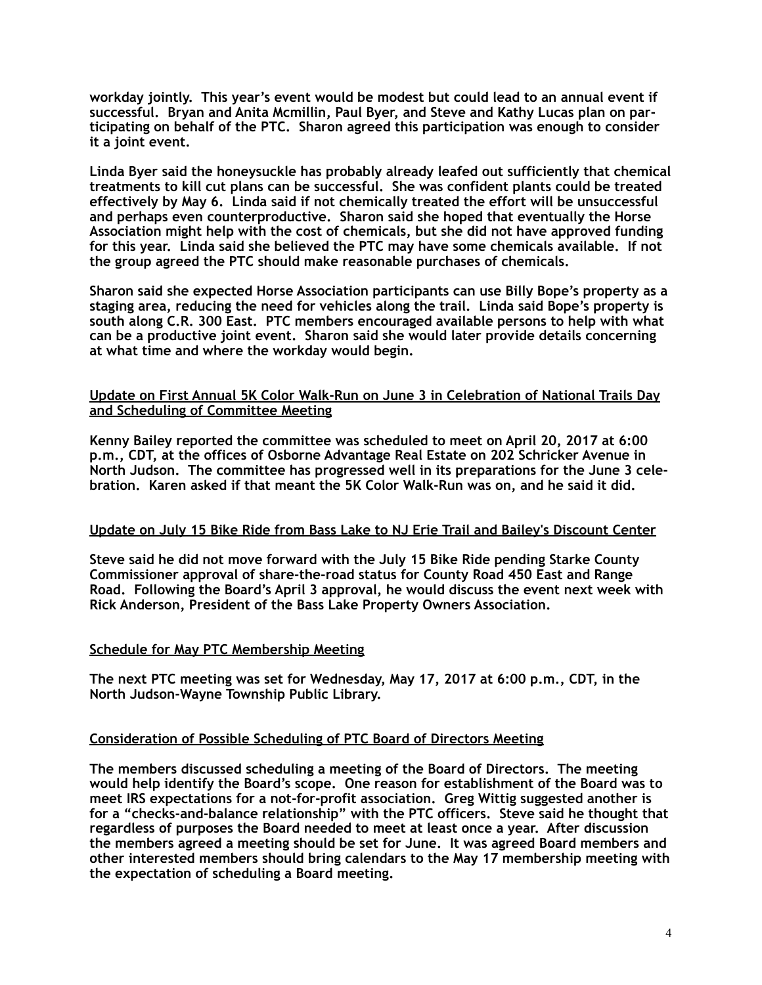**workday jointly. This year's event would be modest but could lead to an annual event if successful. Bryan and Anita Mcmillin, Paul Byer, and Steve and Kathy Lucas plan on participating on behalf of the PTC. Sharon agreed this participation was enough to consider it a joint event.** 

**Linda Byer said the honeysuckle has probably already leafed out sufficiently that chemical treatments to kill cut plans can be successful. She was confident plants could be treated effectively by May 6. Linda said if not chemically treated the effort will be unsuccessful and perhaps even counterproductive. Sharon said she hoped that eventually the Horse Association might help with the cost of chemicals, but she did not have approved funding for this year. Linda said she believed the PTC may have some chemicals available. If not the group agreed the PTC should make reasonable purchases of chemicals.** 

**Sharon said she expected Horse Association participants can use Billy Bope's property as a staging area, reducing the need for vehicles along the trail. Linda said Bope's property is south along C.R. 300 East. PTC members encouraged available persons to help with what can be a productive joint event. Sharon said she would later provide details concerning at what time and where the workday would begin.**

#### **Update on First Annual 5K Color Walk-Run on June 3 in Celebration of National Trails Day and Scheduling of Committee Meeting**

**Kenny Bailey reported the committee was scheduled to meet on April 20, 2017 at 6:00 p.m., CDT, at the offices of Osborne Advantage Real Estate on 202 Schricker Avenue in North Judson. The committee has progressed well in its preparations for the June 3 celebration. Karen asked if that meant the 5K Color Walk-Run was on, and he said it did.** 

#### **Update on July 15 Bike Ride from Bass Lake to NJ Erie Trail and Bailey's Discount Center**

**Steve said he did not move forward with the July 15 Bike Ride pending Starke County Commissioner approval of share-the-road status for County Road 450 East and Range Road. Following the Board's April 3 approval, he would discuss the event next week with Rick Anderson, President of the Bass Lake Property Owners Association.** 

#### **Schedule for May PTC Membership Meeting**

**The next PTC meeting was set for Wednesday, May 17, 2017 at 6:00 p.m., CDT, in the North Judson-Wayne Township Public Library.** 

#### **Consideration of Possible Scheduling of PTC Board of Directors Meeting**

**The members discussed scheduling a meeting of the Board of Directors. The meeting would help identify the Board's scope. One reason for establishment of the Board was to meet IRS expectations for a not-for-profit association. Greg Wittig suggested another is for a "checks-and-balance relationship" with the PTC officers. Steve said he thought that regardless of purposes the Board needed to meet at least once a year. After discussion the members agreed a meeting should be set for June. It was agreed Board members and other interested members should bring calendars to the May 17 membership meeting with the expectation of scheduling a Board meeting.**